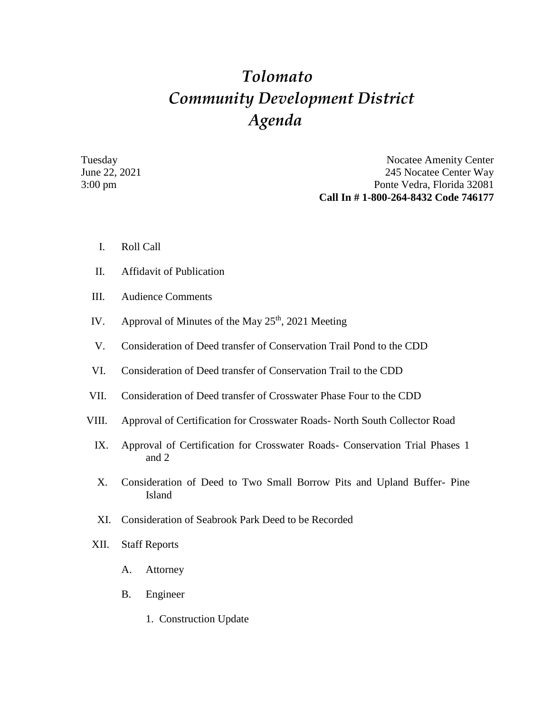## *Tolomato Community Development District Agenda*

Tuesday Nocatee Amenity Center June 22, 2021 245 Nocatee Center Way 3:00 pm Ponte Vedra, Florida 32081 **Call In # 1-800-264-8432 Code 746177**

- I. Roll Call
- II. Affidavit of Publication
- III. Audience Comments
- IV. Approval of Minutes of the May  $25<sup>th</sup>$ , 2021 Meeting
- V. Consideration of Deed transfer of Conservation Trail Pond to the CDD
- VI. Consideration of Deed transfer of Conservation Trail to the CDD
- VII. Consideration of Deed transfer of Crosswater Phase Four to the CDD
- VIII. Approval of Certification for Crosswater Roads- North South Collector Road
	- IX. Approval of Certification for Crosswater Roads- Conservation Trial Phases 1 and 2
	- X. Consideration of Deed to Two Small Borrow Pits and Upland Buffer- Pine Island
	- XI. Consideration of Seabrook Park Deed to be Recorded
- XII. Staff Reports
	- A. Attorney
	- B. Engineer
		- 1. Construction Update